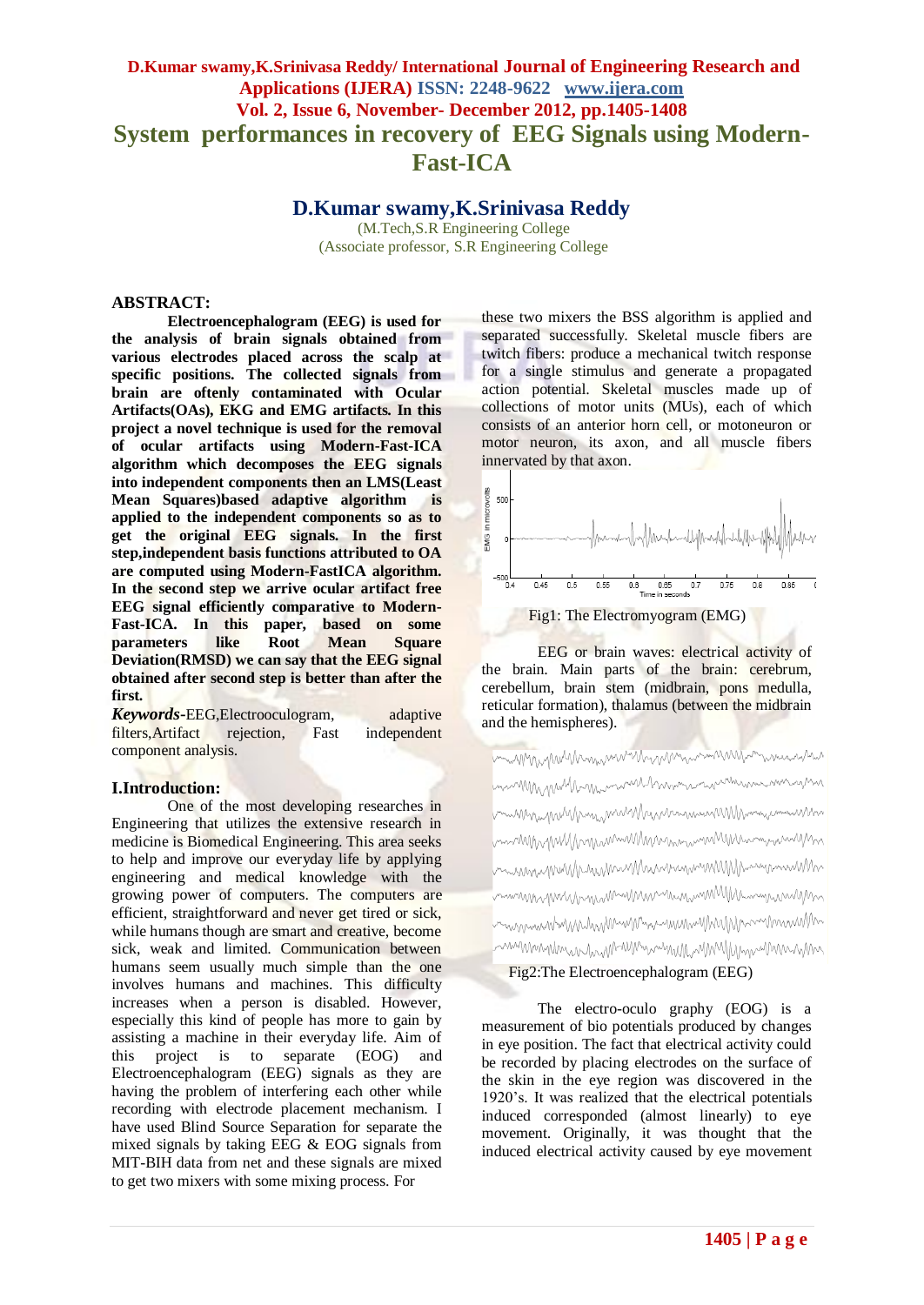# **D.Kumar swamy,K.Srinivasa Reddy/ International Journal of Engineering Research and Applications (IJERA) ISSN: 2248-9622 www.ijera.com Vol. 2, Issue 6, November- December 2012, pp.1405-1408 System performances in recovery of EEG Signals using Modern-Fast-ICA**

**D.Kumar swamy,K.Srinivasa Reddy**

(M.Tech,S.R Engineering College (Associate professor, S.R Engineering College

### **ABSTRACT:**

**Electroencephalogram (EEG) is used for the analysis of brain signals obtained from various electrodes placed across the scalp at specific positions. The collected signals from brain are oftenly contaminated with Ocular Artifacts(OAs), EKG and EMG artifacts. In this project a novel technique is used for the removal of ocular artifacts using Modern-Fast-ICA algorithm which decomposes the EEG signals into independent components then an LMS(Least Mean Squares)based adaptive algorithm is applied to the independent components so as to get the original EEG signals. In the first step,independent basis functions attributed to OA are computed using Modern-FastICA algorithm. In the second step we arrive ocular artifact free EEG signal efficiently comparative to Modern-Fast-ICA. In this paper, based on some parameters like Root Mean Square Deviation(RMSD) we can say that the EEG signal obtained after second step is better than after the first.**

*Keywords***-**EEG,Electrooculogram, adaptive filters,Artifact rejection, Fast independent component analysis.

### **I.Introduction:**

One of the most developing researches in Engineering that utilizes the extensive research in medicine is Biomedical Engineering. This area seeks to help and improve our everyday life by applying engineering and medical knowledge with the growing power of computers. The computers are efficient, straightforward and never get tired or sick, while humans though are smart and creative, become sick, weak and limited. Communication between humans seem usually much simple than the one involves humans and machines. This difficulty increases when a person is disabled. However, especially this kind of people has more to gain by assisting a machine in their everyday life. Aim of this project is to separate (EOG) and Electroencephalogram (EEG) signals as they are having the problem of interfering each other while recording with electrode placement mechanism. I have used Blind Source Separation for separate the mixed signals by taking EEG & EOG signals from MIT-BIH data from net and these signals are mixed to get two mixers with some mixing process. For

these two mixers the BSS algorithm is applied and separated successfully. Skeletal muscle fibers are twitch fibers: produce a mechanical twitch response for a single stimulus and generate a propagated action potential. Skeletal muscles made up of collections of motor units (MUs), each of which consists of an anterior horn cell, or motoneuron or motor neuron, its axon, and all muscle fibers innervated by that axon.



EEG or brain waves: electrical activity of the brain. Main parts of the brain: cerebrum, cerebellum, brain stem (midbrain, pons medulla, reticular formation), thalamus (between the midbrain and the hemispheres).

may my your morn was an interest and was a morning MM MMML www.manulhanmanurunnanurunn William Milliam MWW Municrannen MM Norman William muninghull/hymnimillinnumuninlillinnumuninl bunsing under the million of the million of the million of the million of the million of the million of the th mmnnnnnnnnnnnnnnnnnnnnnnnnnnnnnnnnnn hunggunwwwww.mangunwwwwwwwwwwwwwww Fig2:The Electroencephalogram (EEG)

The electro-oculo graphy (EOG) is a measurement of bio potentials produced by changes in eye position. The fact that electrical activity could be recorded by placing electrodes on the surface of the skin in the eye region was discovered in the 1920's. It was realized that the electrical potentials induced corresponded (almost linearly) to eye movement. Originally, it was thought that the induced electrical activity caused by eye movement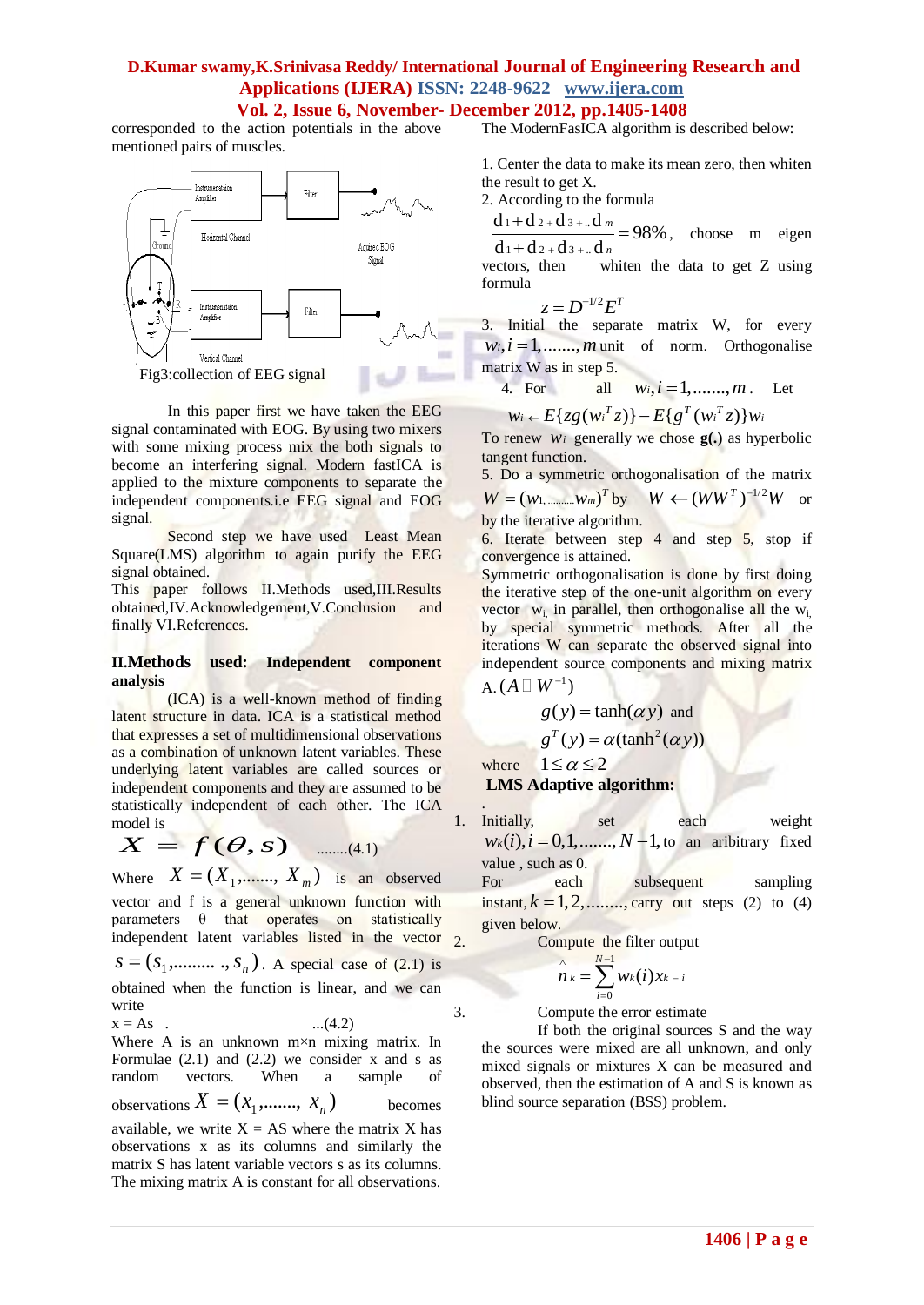### **D.Kumar swamy,K.Srinivasa Reddy/ International Journal of Engineering Research and Applications (IJERA) ISSN: 2248-9622 www.ijera.com Vol. 2, Issue 6, November- December 2012, pp.1405-1408**

corresponded to the action potentials in the above mentioned pairs of muscles.



In this paper first we have taken the EEG signal contaminated with EOG. By using two mixers with some mixing process mix the both signals to become an interfering signal. Modern fastICA is applied to the mixture components to separate the independent components.i.e EEG signal and EOG signal.

Second step we have used Least Mean Square(LMS) algorithm to again purify the EEG signal obtained.

This paper follows II.Methods used,III.Results obtained,IV.Acknowledgement,V.Conclusion and finally VI.References.

#### **II.Methods used: Independent component analysis**

(ICA) is a well-known method of finding latent structure in data. ICA is a statistical method that expresses a set of multidimensional observations as a combination of unknown latent variables. These underlying latent variables are called sources or independent components and they are assumed to be statistically independent of each other. The ICA model is

$$
X = f(\theta, s) \quad \dots \quad (4.1)
$$

Where  $X = (X_1, \dots, X_m)$  is an observed vector and f is a general unknown function with parameters  $\theta$  that operates on statistically independent latent variables listed in the vector  $\sigma$  $S = (S_1, \dots, S_n)$ . A special case of (2.1) is obtained when the function is linear, and we can write  $x = As$  . ...(4.2) Where A is an unknown m×n mixing matrix. In Formulae  $(2.1)$  and  $(2.2)$  we consider x and s as

random vectors. When a sample of observations  $X = (x_1, \dots, x_n)$ becomes available, we write  $X = AS$  where the matrix X has observations x as its columns and similarly the matrix S has latent variable vectors s as its columns. The mixing matrix A is constant for all observations.

The ModernFasICA algorithm is described below:

1. Center the data to make its mean zero, then whiten the result to get X.

2. According to the formula

 $\frac{d_1 + d_2 + d_3 + ... d_m}{d_1 + d_2 + d_3 + ... d_m} = 98\%$  $d_1 + d_2 + d_3 + ... d_n$  $\frac{+d_{2}+d_{3}+d_{m}}{2}$  = 98%, choose m eigen

vectors, then whiten the data to get Z using formula

$$
z = D^{-1/2} E^T
$$

3. Initial the separate matrix W, for every  $w_i$ ,  $i = 1, \ldots, m$  unit of norm. Orthogonalise matrix W as in step 5.

4. For all 
$$
w_i, i = 1, \dots, m
$$
. Let

4. For all 
$$
w_i, i = 1, \dots, m
$$
.  
\n $w_i \leftarrow E\{z g(w_i^T z)\} - E\{g^T(w_i^T z)\} w_i$ 

To renew *wi* generally we chose **g(.)** as hyperbolic tangent function.

5. Do a symmetric orthogonalisation of the matrix  $W = (w_1, \dots, w_m)^T$  by  $W \leftarrow (WW^T)^{-1/2}W$  or by the iterative algorithm.

6. Iterate between step 4 and step 5, stop if convergence is attained.

Symmetric orthogonalisation is done by first doing the iterative step of the one-unit algorithm on every vector  $w_i$ , in parallel, then orthogonalise all the  $w_i$ , by special symmetric methods. After all the iterations W can separate the observed signal into independent source components and mixing matrix

$$
\mathrm{A}_\cdot(A\,\square\,W^{-1})
$$

$$
g(y) = \tanh(\alpha y)
$$
 and  
\n $g^T(y) = \alpha(\tanh^2(\alpha y))$ 

where  $1 \leq \alpha \leq 2$ **LMS Adaptive algorithm:**

.

1. Initially, set each weight  $w_k(i), i = 0, 1, \dots, N-1$ , to an aribitrary fixed value , such as 0.

For each subsequent sampling instant,  $k = 1, 2, \dots,$  carry out steps (2) to (4) given below.

2. Compute the filter output

$$
\bigwedge_{i=0}^{\lambda} W_k = \sum_{i=0}^{N-1} W_k(i) x_{k-i}
$$

3. Compute the error estimate

If both the original sources S and the way the sources were mixed are all unknown, and only mixed signals or mixtures X can be measured and observed, then the estimation of A and S is known as blind source separation (BSS) problem.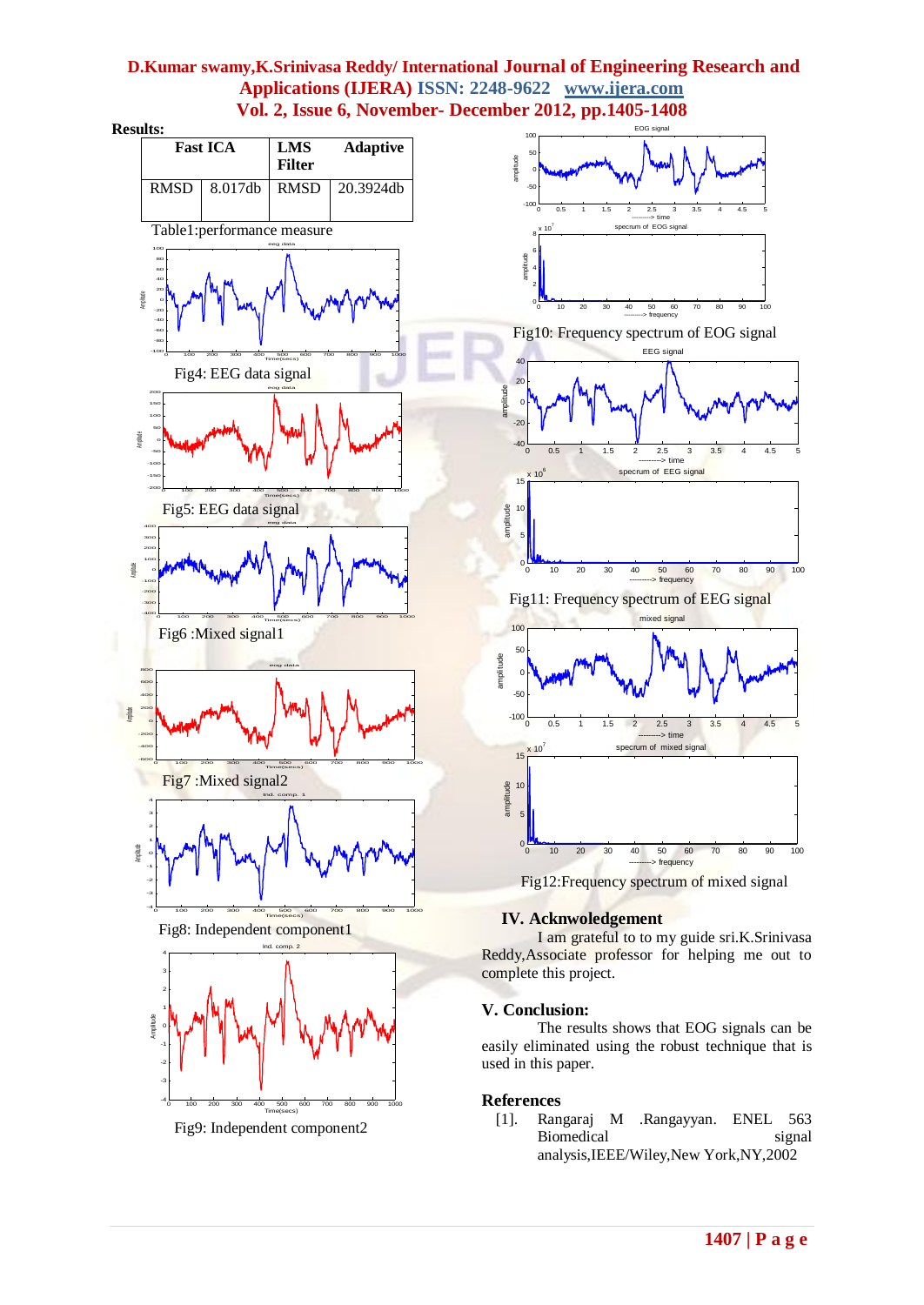## **D.Kumar swamy,K.Srinivasa Reddy/ International Journal of Engineering Research and Applications (IJERA) ISSN: 2248-9622 www.ijera.com Vol. 2, Issue 6, November- December 2012, pp.1405-1408**

**Results:**



Fig9: Independent component2



### **IV. Acknwoledgement**

I am grateful to to my guide sri.K.Srinivasa Reddy,Associate professor for helping me out to complete this project.

### **V. Conclusion:**

The results shows that EOG signals can be easily eliminated using the robust technique that is used in this paper.

### **References**

[1]. Rangaraj M .Rangayyan. ENEL 563 Biomedical signal analysis,IEEE/Wiley,New York,NY,2002